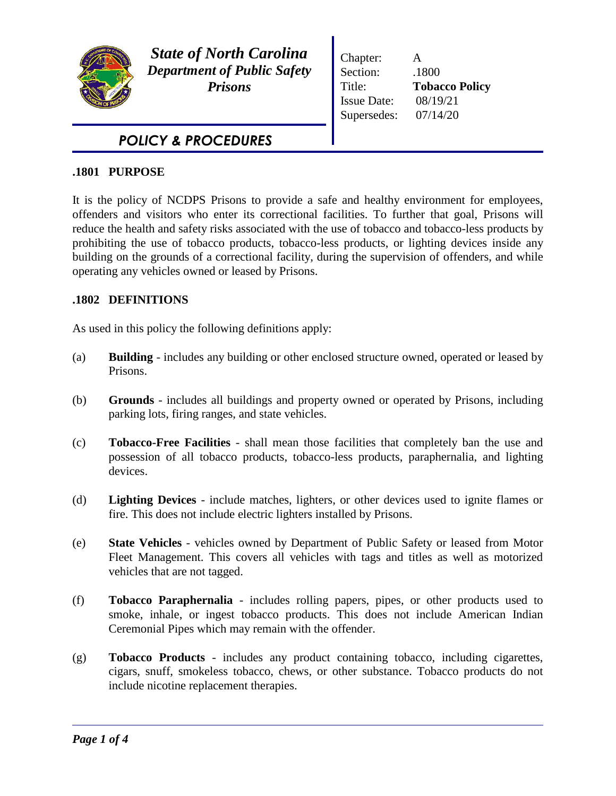

*State of North Carolina Department of Public Safety Prisons*

Chapter: A Section: .1800 Title: **Tobacco Policy** Issue Date: 08/19/21 Supersedes: 07/14/20

# *POLICY & PROCEDURES*

# **.1801 PURPOSE**

It is the policy of NCDPS Prisons to provide a safe and healthy environment for employees, offenders and visitors who enter its correctional facilities. To further that goal, Prisons will reduce the health and safety risks associated with the use of tobacco and tobacco-less products by prohibiting the use of tobacco products, tobacco-less products, or lighting devices inside any building on the grounds of a correctional facility, during the supervision of offenders, and while operating any vehicles owned or leased by Prisons.

# **.1802 DEFINITIONS**

As used in this policy the following definitions apply:

- (a) **Building**  includes any building or other enclosed structure owned, operated or leased by Prisons.
- (b) **Grounds**  includes all buildings and property owned or operated by Prisons, including parking lots, firing ranges, and state vehicles.
- (c) **Tobacco-Free Facilities** shall mean those facilities that completely ban the use and possession of all tobacco products, tobacco-less products, paraphernalia, and lighting devices.
- (d) **Lighting Devices** include matches, lighters, or other devices used to ignite flames or fire. This does not include electric lighters installed by Prisons.
- (e) **State Vehicles**  vehicles owned by Department of Public Safety or leased from Motor Fleet Management. This covers all vehicles with tags and titles as well as motorized vehicles that are not tagged.
- (f) **Tobacco Paraphernalia** includes rolling papers, pipes, or other products used to smoke, inhale, or ingest tobacco products. This does not include American Indian Ceremonial Pipes which may remain with the offender.
- (g) **Tobacco Products** includes any product containing tobacco, including cigarettes, cigars, snuff, smokeless tobacco, chews, or other substance. Tobacco products do not include nicotine replacement therapies.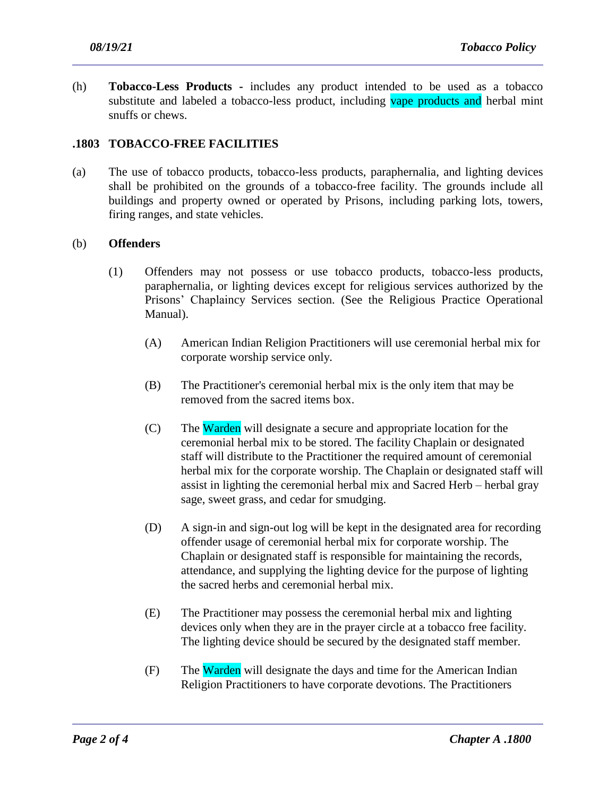(h) **Tobacco-Less Products -** includes any product intended to be used as a tobacco substitute and labeled a tobacco-less product, including vape products and herbal mint snuffs or chews.

# **.1803 TOBACCO-FREE FACILITIES**

(a) The use of tobacco products, tobacco-less products, paraphernalia, and lighting devices shall be prohibited on the grounds of a tobacco-free facility. The grounds include all buildings and property owned or operated by Prisons, including parking lots, towers, firing ranges, and state vehicles.

## (b) **Offenders**

- (1) Offenders may not possess or use tobacco products, tobacco-less products, paraphernalia, or lighting devices except for religious services authorized by the Prisons' Chaplaincy Services section. (See the Religious Practice Operational Manual).
	- (A) American Indian Religion Practitioners will use ceremonial herbal mix for corporate worship service only.
	- (B) The Practitioner's ceremonial herbal mix is the only item that may be removed from the sacred items box.
	- (C) The Warden will designate a secure and appropriate location for the ceremonial herbal mix to be stored. The facility Chaplain or designated staff will distribute to the Practitioner the required amount of ceremonial herbal mix for the corporate worship. The Chaplain or designated staff will assist in lighting the ceremonial herbal mix and Sacred Herb – herbal gray sage, sweet grass, and cedar for smudging.
	- (D) A sign-in and sign-out log will be kept in the designated area for recording offender usage of ceremonial herbal mix for corporate worship. The Chaplain or designated staff is responsible for maintaining the records, attendance, and supplying the lighting device for the purpose of lighting the sacred herbs and ceremonial herbal mix.
	- (E) The Practitioner may possess the ceremonial herbal mix and lighting devices only when they are in the prayer circle at a tobacco free facility. The lighting device should be secured by the designated staff member.
	- (F) The Warden will designate the days and time for the American Indian Religion Practitioners to have corporate devotions. The Practitioners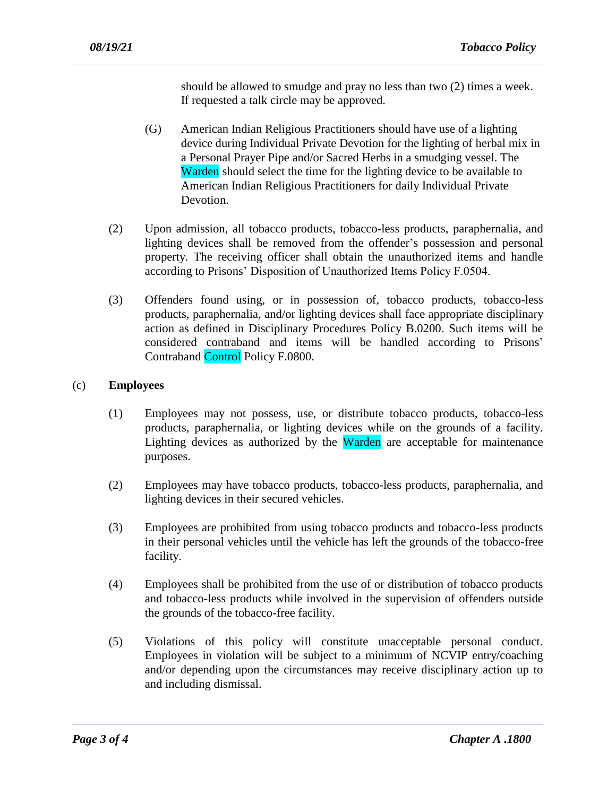should be allowed to smudge and pray no less than two (2) times a week. If requested a talk circle may be approved.

- (G) American Indian Religious Practitioners should have use of a lighting device during Individual Private Devotion for the lighting of herbal mix in a Personal Prayer Pipe and/or Sacred Herbs in a smudging vessel. The Warden should select the time for the lighting device to be available to American Indian Religious Practitioners for daily Individual Private Devotion.
- (2) Upon admission, all tobacco products, tobacco-less products, paraphernalia, and lighting devices shall be removed from the offender's possession and personal property. The receiving officer shall obtain the unauthorized items and handle according to Prisons' Disposition of Unauthorized Items Policy F.0504.
- (3) Offenders found using, or in possession of, tobacco products, tobacco-less products, paraphernalia, and/or lighting devices shall face appropriate disciplinary action as defined in Disciplinary Procedures Policy B.0200. Such items will be considered contraband and items will be handled according to Prisons' Contraband Control Policy F.0800.

## (c) **Employees**

- (1) Employees may not possess, use, or distribute tobacco products, tobacco-less products, paraphernalia, or lighting devices while on the grounds of a facility. Lighting devices as authorized by the Warden are acceptable for maintenance purposes.
- (2) Employees may have tobacco products, tobacco-less products, paraphernalia, and lighting devices in their secured vehicles.
- (3) Employees are prohibited from using tobacco products and tobacco-less products in their personal vehicles until the vehicle has left the grounds of the tobacco-free facility.
- (4) Employees shall be prohibited from the use of or distribution of tobacco products and tobacco-less products while involved in the supervision of offenders outside the grounds of the tobacco-free facility.
- (5) Violations of this policy will constitute unacceptable personal conduct. Employees in violation will be subject to a minimum of NCVIP entry/coaching and/or depending upon the circumstances may receive disciplinary action up to and including dismissal.